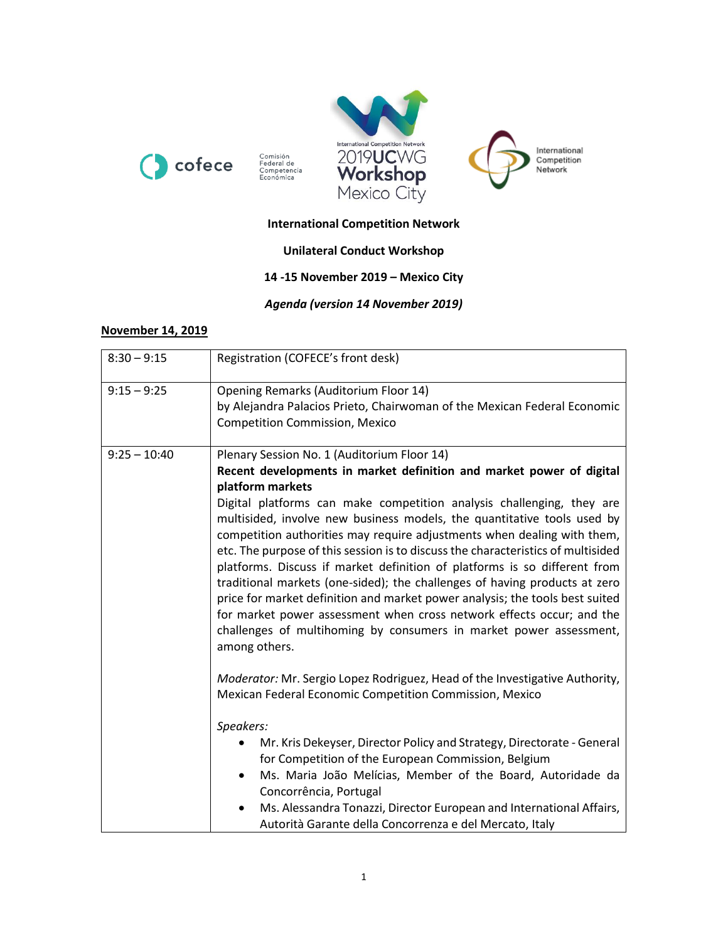





## **International Competition Network**

Comisión<br>Federal de<br>Competencia<br>Económica

# **Unilateral Conduct Workshop**

### **14 -15 November 2019 – Mexico City**

*Agenda (version 14 November 2019)*

#### **November 14, 2019**

| $8:30 - 9:15$  | Registration (COFECE's front desk)                                                                                                                                                                                                                                                                                                                                                                                                                                                                                                                                                                                                                                                                                                                                                                                                                                    |
|----------------|-----------------------------------------------------------------------------------------------------------------------------------------------------------------------------------------------------------------------------------------------------------------------------------------------------------------------------------------------------------------------------------------------------------------------------------------------------------------------------------------------------------------------------------------------------------------------------------------------------------------------------------------------------------------------------------------------------------------------------------------------------------------------------------------------------------------------------------------------------------------------|
| $9:15 - 9:25$  | Opening Remarks (Auditorium Floor 14)<br>by Alejandra Palacios Prieto, Chairwoman of the Mexican Federal Economic<br><b>Competition Commission, Mexico</b>                                                                                                                                                                                                                                                                                                                                                                                                                                                                                                                                                                                                                                                                                                            |
| $9:25 - 10:40$ | Plenary Session No. 1 (Auditorium Floor 14)<br>Recent developments in market definition and market power of digital<br>platform markets<br>Digital platforms can make competition analysis challenging, they are<br>multisided, involve new business models, the quantitative tools used by<br>competition authorities may require adjustments when dealing with them,<br>etc. The purpose of this session is to discuss the characteristics of multisided<br>platforms. Discuss if market definition of platforms is so different from<br>traditional markets (one-sided); the challenges of having products at zero<br>price for market definition and market power analysis; the tools best suited<br>for market power assessment when cross network effects occur; and the<br>challenges of multihoming by consumers in market power assessment,<br>among others. |
|                | Moderator: Mr. Sergio Lopez Rodriguez, Head of the Investigative Authority,<br>Mexican Federal Economic Competition Commission, Mexico<br>Speakers:<br>Mr. Kris Dekeyser, Director Policy and Strategy, Directorate - General<br>for Competition of the European Commission, Belgium<br>Ms. Maria João Melícias, Member of the Board, Autoridade da<br>٠<br>Concorrência, Portugal<br>Ms. Alessandra Tonazzi, Director European and International Affairs,<br>Autorità Garante della Concorrenza e del Mercato, Italy                                                                                                                                                                                                                                                                                                                                                 |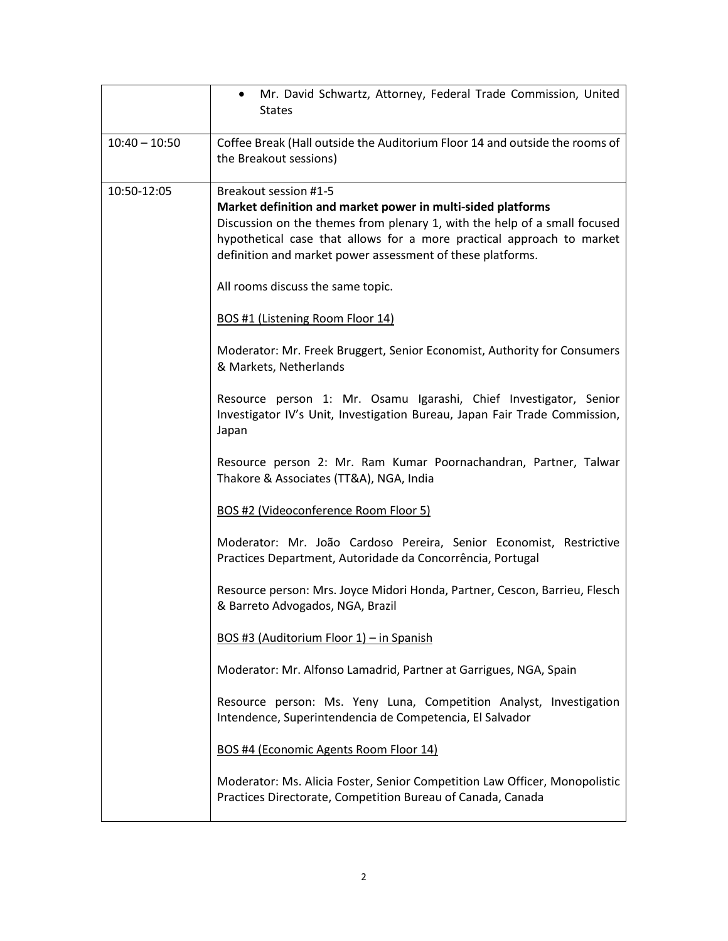|                 | Mr. David Schwartz, Attorney, Federal Trade Commission, United<br>$\bullet$<br><b>States</b>                                                                                                                                                                                                                                                                                             |
|-----------------|------------------------------------------------------------------------------------------------------------------------------------------------------------------------------------------------------------------------------------------------------------------------------------------------------------------------------------------------------------------------------------------|
| $10:40 - 10:50$ | Coffee Break (Hall outside the Auditorium Floor 14 and outside the rooms of<br>the Breakout sessions)                                                                                                                                                                                                                                                                                    |
| 10:50-12:05     | Breakout session #1-5<br>Market definition and market power in multi-sided platforms<br>Discussion on the themes from plenary 1, with the help of a small focused<br>hypothetical case that allows for a more practical approach to market<br>definition and market power assessment of these platforms.<br>All rooms discuss the same topic.<br><b>BOS #1 (Listening Room Floor 14)</b> |
|                 | Moderator: Mr. Freek Bruggert, Senior Economist, Authority for Consumers<br>& Markets, Netherlands                                                                                                                                                                                                                                                                                       |
|                 | Resource person 1: Mr. Osamu Igarashi, Chief Investigator, Senior<br>Investigator IV's Unit, Investigation Bureau, Japan Fair Trade Commission,<br>Japan                                                                                                                                                                                                                                 |
|                 | Resource person 2: Mr. Ram Kumar Poornachandran, Partner, Talwar<br>Thakore & Associates (TT&A), NGA, India                                                                                                                                                                                                                                                                              |
|                 | BOS #2 (Videoconference Room Floor 5)                                                                                                                                                                                                                                                                                                                                                    |
|                 | Moderator: Mr. João Cardoso Pereira, Senior Economist, Restrictive<br>Practices Department, Autoridade da Concorrência, Portugal                                                                                                                                                                                                                                                         |
|                 | Resource person: Mrs. Joyce Midori Honda, Partner, Cescon, Barrieu, Flesch<br>& Barreto Advogados, NGA, Brazil                                                                                                                                                                                                                                                                           |
|                 | BOS #3 (Auditorium Floor 1) - in Spanish                                                                                                                                                                                                                                                                                                                                                 |
|                 | Moderator: Mr. Alfonso Lamadrid, Partner at Garrigues, NGA, Spain                                                                                                                                                                                                                                                                                                                        |
|                 | Resource person: Ms. Yeny Luna, Competition Analyst, Investigation<br>Intendence, Superintendencia de Competencia, El Salvador                                                                                                                                                                                                                                                           |
|                 | BOS #4 (Economic Agents Room Floor 14)                                                                                                                                                                                                                                                                                                                                                   |
|                 | Moderator: Ms. Alicia Foster, Senior Competition Law Officer, Monopolistic<br>Practices Directorate, Competition Bureau of Canada, Canada                                                                                                                                                                                                                                                |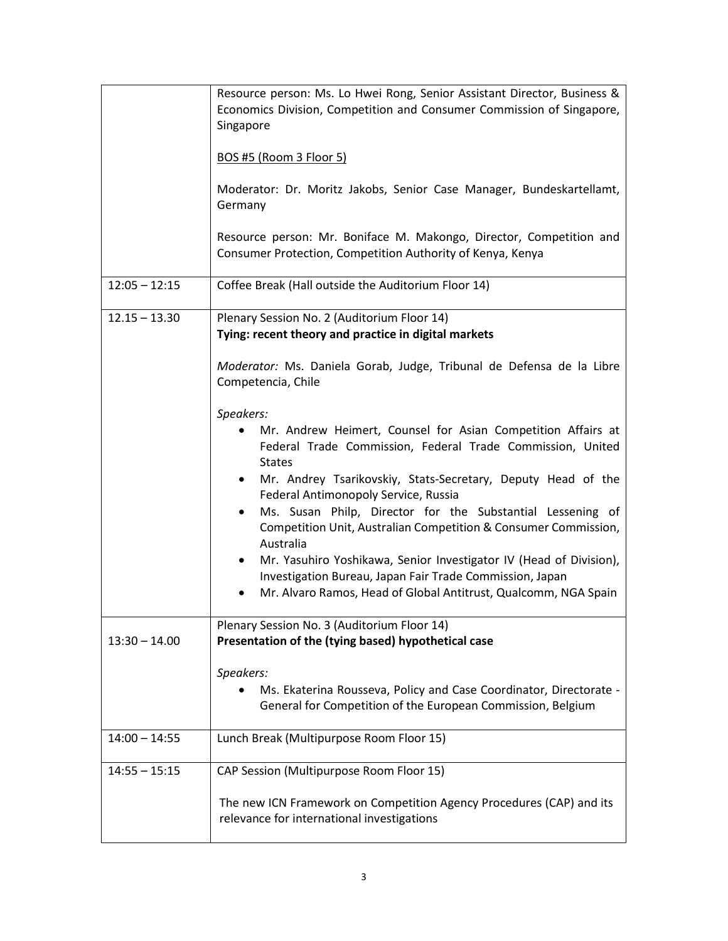|                 | Resource person: Ms. Lo Hwei Rong, Senior Assistant Director, Business &<br>Economics Division, Competition and Consumer Commission of Singapore,<br>Singapore<br><b>BOS #5 (Room 3 Floor 5)</b><br>Moderator: Dr. Moritz Jakobs, Senior Case Manager, Bundeskartellamt,<br>Germany<br>Resource person: Mr. Boniface M. Makongo, Director, Competition and<br>Consumer Protection, Competition Authority of Kenya, Kenya                                                                                                                                                                                                                                                                                                                                                                                                                                        |
|-----------------|-----------------------------------------------------------------------------------------------------------------------------------------------------------------------------------------------------------------------------------------------------------------------------------------------------------------------------------------------------------------------------------------------------------------------------------------------------------------------------------------------------------------------------------------------------------------------------------------------------------------------------------------------------------------------------------------------------------------------------------------------------------------------------------------------------------------------------------------------------------------|
| $12:05 - 12:15$ | Coffee Break (Hall outside the Auditorium Floor 14)                                                                                                                                                                                                                                                                                                                                                                                                                                                                                                                                                                                                                                                                                                                                                                                                             |
| $12.15 - 13.30$ | Plenary Session No. 2 (Auditorium Floor 14)<br>Tying: recent theory and practice in digital markets<br>Moderator: Ms. Daniela Gorab, Judge, Tribunal de Defensa de la Libre<br>Competencia, Chile<br>Speakers:<br>Mr. Andrew Heimert, Counsel for Asian Competition Affairs at<br>Federal Trade Commission, Federal Trade Commission, United<br><b>States</b><br>Mr. Andrey Tsarikovskiy, Stats-Secretary, Deputy Head of the<br>$\bullet$<br>Federal Antimonopoly Service, Russia<br>Ms. Susan Philp, Director for the Substantial Lessening of<br>$\bullet$<br>Competition Unit, Australian Competition & Consumer Commission,<br>Australia<br>Mr. Yasuhiro Yoshikawa, Senior Investigator IV (Head of Division),<br>$\bullet$<br>Investigation Bureau, Japan Fair Trade Commission, Japan<br>Mr. Alvaro Ramos, Head of Global Antitrust, Qualcomm, NGA Spain |
| $13:30 - 14.00$ | Plenary Session No. 3 (Auditorium Floor 14)<br>Presentation of the (tying based) hypothetical case<br>Speakers:<br>Ms. Ekaterina Rousseva, Policy and Case Coordinator, Directorate -<br>General for Competition of the European Commission, Belgium                                                                                                                                                                                                                                                                                                                                                                                                                                                                                                                                                                                                            |
| $14:00 - 14:55$ | Lunch Break (Multipurpose Room Floor 15)                                                                                                                                                                                                                                                                                                                                                                                                                                                                                                                                                                                                                                                                                                                                                                                                                        |
| $14:55 - 15:15$ | CAP Session (Multipurpose Room Floor 15)<br>The new ICN Framework on Competition Agency Procedures (CAP) and its<br>relevance for international investigations                                                                                                                                                                                                                                                                                                                                                                                                                                                                                                                                                                                                                                                                                                  |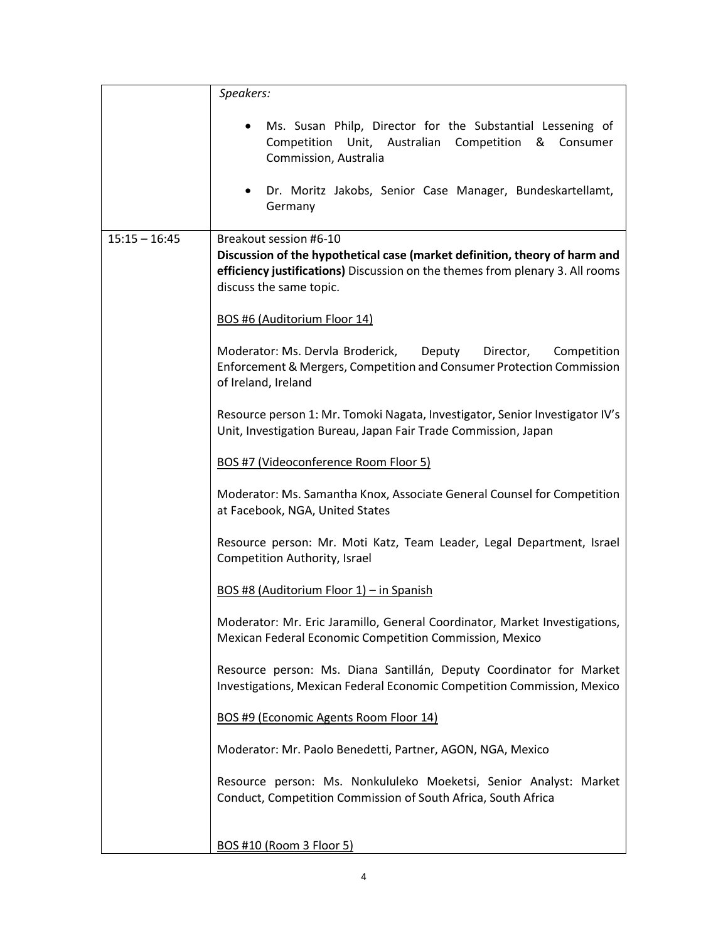|                 | Speakers:                                                                                                                                                                                                             |
|-----------------|-----------------------------------------------------------------------------------------------------------------------------------------------------------------------------------------------------------------------|
|                 | Ms. Susan Philp, Director for the Substantial Lessening of<br>Competition Unit, Australian Competition<br>& Consumer<br>Commission, Australia<br>Dr. Moritz Jakobs, Senior Case Manager, Bundeskartellamt,<br>Germany |
| $15:15 - 16:45$ | Breakout session #6-10                                                                                                                                                                                                |
|                 | Discussion of the hypothetical case (market definition, theory of harm and<br>efficiency justifications) Discussion on the themes from plenary 3. All rooms<br>discuss the same topic.                                |
|                 | BOS #6 (Auditorium Floor 14)                                                                                                                                                                                          |
|                 | Moderator: Ms. Dervla Broderick,<br>Deputy<br>Director,<br>Competition<br>Enforcement & Mergers, Competition and Consumer Protection Commission<br>of Ireland, Ireland                                                |
|                 | Resource person 1: Mr. Tomoki Nagata, Investigator, Senior Investigator IV's<br>Unit, Investigation Bureau, Japan Fair Trade Commission, Japan                                                                        |
|                 | BOS #7 (Videoconference Room Floor 5)                                                                                                                                                                                 |
|                 | Moderator: Ms. Samantha Knox, Associate General Counsel for Competition<br>at Facebook, NGA, United States                                                                                                            |
|                 | Resource person: Mr. Moti Katz, Team Leader, Legal Department, Israel<br><b>Competition Authority, Israel</b>                                                                                                         |
|                 | BOS #8 (Auditorium Floor 1) – in Spanish                                                                                                                                                                              |
|                 | Moderator: Mr. Eric Jaramillo, General Coordinator, Market Investigations,<br>Mexican Federal Economic Competition Commission, Mexico                                                                                 |
|                 | Resource person: Ms. Diana Santillán, Deputy Coordinator for Market<br>Investigations, Mexican Federal Economic Competition Commission, Mexico                                                                        |
|                 | BOS #9 (Economic Agents Room Floor 14)                                                                                                                                                                                |
|                 | Moderator: Mr. Paolo Benedetti, Partner, AGON, NGA, Mexico                                                                                                                                                            |
|                 | Resource person: Ms. Nonkululeko Moeketsi, Senior Analyst: Market<br>Conduct, Competition Commission of South Africa, South Africa                                                                                    |
|                 | <b>BOS #10 (Room 3 Floor 5)</b>                                                                                                                                                                                       |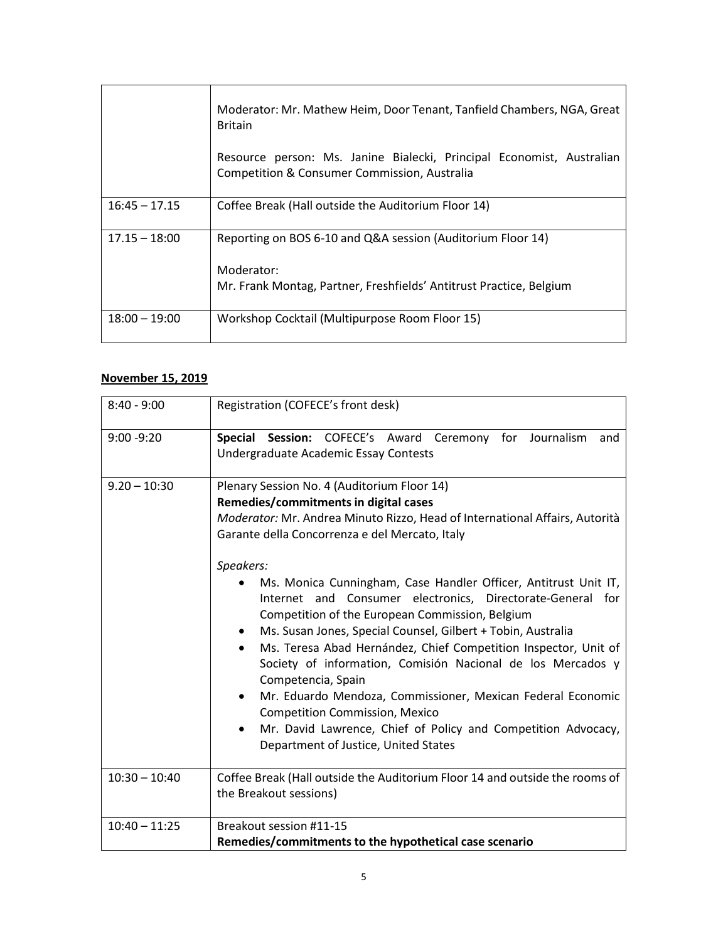|                 | Moderator: Mr. Mathew Heim, Door Tenant, Tanfield Chambers, NGA, Great<br><b>Britain</b>                                                         |
|-----------------|--------------------------------------------------------------------------------------------------------------------------------------------------|
|                 | Resource person: Ms. Janine Bialecki, Principal Economist, Australian<br>Competition & Consumer Commission, Australia                            |
| $16:45 - 17.15$ | Coffee Break (Hall outside the Auditorium Floor 14)                                                                                              |
| $17.15 - 18:00$ | Reporting on BOS 6-10 and Q&A session (Auditorium Floor 14)<br>Moderator:<br>Mr. Frank Montag, Partner, Freshfields' Antitrust Practice, Belgium |
| $18:00 - 19:00$ | Workshop Cocktail (Multipurpose Room Floor 15)                                                                                                   |

## **November 15, 2019**

| $8:40 - 9:00$   | Registration (COFECE's front desk)                                                                                                                                                                                                                                                                                                                                                                                                                                                                                                                                                                                                                                                                                                                                                                                                                                                                     |
|-----------------|--------------------------------------------------------------------------------------------------------------------------------------------------------------------------------------------------------------------------------------------------------------------------------------------------------------------------------------------------------------------------------------------------------------------------------------------------------------------------------------------------------------------------------------------------------------------------------------------------------------------------------------------------------------------------------------------------------------------------------------------------------------------------------------------------------------------------------------------------------------------------------------------------------|
| $9:00 - 9:20$   | Special Session: COFECE's Award Ceremony for Journalism<br>and<br>Undergraduate Academic Essay Contests                                                                                                                                                                                                                                                                                                                                                                                                                                                                                                                                                                                                                                                                                                                                                                                                |
| $9.20 - 10:30$  | Plenary Session No. 4 (Auditorium Floor 14)<br>Remedies/commitments in digital cases<br>Moderator: Mr. Andrea Minuto Rizzo, Head of International Affairs, Autorità<br>Garante della Concorrenza e del Mercato, Italy<br>Speakers:<br>Ms. Monica Cunningham, Case Handler Officer, Antitrust Unit IT,<br>Internet and Consumer electronics, Directorate-General for<br>Competition of the European Commission, Belgium<br>Ms. Susan Jones, Special Counsel, Gilbert + Tobin, Australia<br>$\bullet$<br>Ms. Teresa Abad Hernández, Chief Competition Inspector, Unit of<br>$\bullet$<br>Society of information, Comisión Nacional de los Mercados y<br>Competencia, Spain<br>Mr. Eduardo Mendoza, Commissioner, Mexican Federal Economic<br>$\bullet$<br><b>Competition Commission, Mexico</b><br>Mr. David Lawrence, Chief of Policy and Competition Advocacy,<br>Department of Justice, United States |
| $10:30 - 10:40$ | Coffee Break (Hall outside the Auditorium Floor 14 and outside the rooms of<br>the Breakout sessions)                                                                                                                                                                                                                                                                                                                                                                                                                                                                                                                                                                                                                                                                                                                                                                                                  |
| $10:40 - 11:25$ | Breakout session #11-15<br>Remedies/commitments to the hypothetical case scenario                                                                                                                                                                                                                                                                                                                                                                                                                                                                                                                                                                                                                                                                                                                                                                                                                      |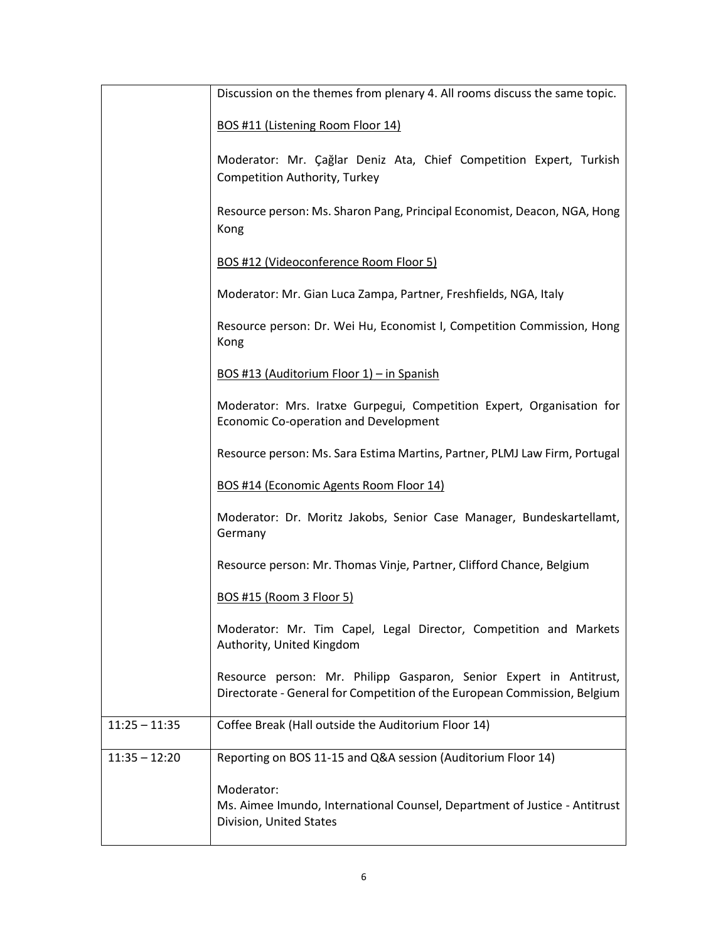|                 | Discussion on the themes from plenary 4. All rooms discuss the same topic.                                                                      |
|-----------------|-------------------------------------------------------------------------------------------------------------------------------------------------|
|                 | BOS #11 (Listening Room Floor 14)                                                                                                               |
|                 | Moderator: Mr. Çağlar Deniz Ata, Chief Competition Expert, Turkish<br>Competition Authority, Turkey                                             |
|                 | Resource person: Ms. Sharon Pang, Principal Economist, Deacon, NGA, Hong<br>Kong                                                                |
|                 | BOS #12 (Videoconference Room Floor 5)                                                                                                          |
|                 | Moderator: Mr. Gian Luca Zampa, Partner, Freshfields, NGA, Italy                                                                                |
|                 | Resource person: Dr. Wei Hu, Economist I, Competition Commission, Hong<br>Kong                                                                  |
|                 | BOS #13 (Auditorium Floor 1) - in Spanish                                                                                                       |
|                 | Moderator: Mrs. Iratxe Gurpegui, Competition Expert, Organisation for<br>Economic Co-operation and Development                                  |
|                 | Resource person: Ms. Sara Estima Martins, Partner, PLMJ Law Firm, Portugal                                                                      |
|                 | BOS #14 (Economic Agents Room Floor 14)                                                                                                         |
|                 | Moderator: Dr. Moritz Jakobs, Senior Case Manager, Bundeskartellamt,<br>Germany                                                                 |
|                 | Resource person: Mr. Thomas Vinje, Partner, Clifford Chance, Belgium                                                                            |
|                 | <b>BOS #15 (Room 3 Floor 5)</b>                                                                                                                 |
|                 | Moderator: Mr. Tim Capel, Legal Director, Competition and Markets<br>Authority, United Kingdom                                                  |
|                 | Resource person: Mr. Philipp Gasparon, Senior Expert in Antitrust,<br>Directorate - General for Competition of the European Commission, Belgium |
| $11:25 - 11:35$ | Coffee Break (Hall outside the Auditorium Floor 14)                                                                                             |
| $11:35 - 12:20$ | Reporting on BOS 11-15 and Q&A session (Auditorium Floor 14)                                                                                    |
|                 | Moderator:<br>Ms. Aimee Imundo, International Counsel, Department of Justice - Antitrust<br>Division, United States                             |